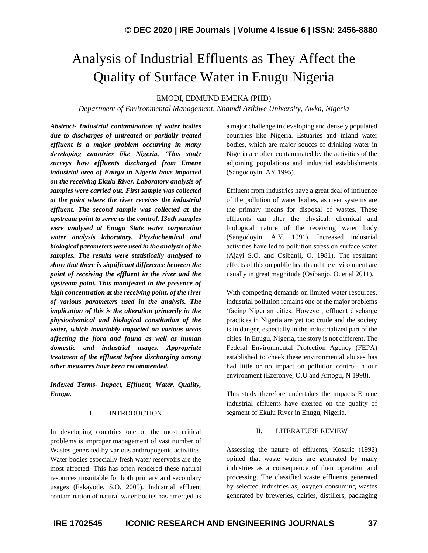# Analysis of Industrial Effluents as They Affect the Quality of Surface Water in Enugu Nigeria

EMODI, EDMUND EMEKA (PHD)

*Department of Environmental Management, Nnamdi Azikiwe University, Awka, Nigeria*

*Abstract- Industrial contamination of water bodies due to discharges of untreated or partially treated effluent is a major problem occurring in many developing countries like Nigeria. 'This study surveys how effluents discharged from Emene industrial area of Enugu in Nigeria have impacted on the receiving Ekulu River. Laboratory analysis of samples were carried out. First sample was collected at the point where the river receives the industrial effluent. The second sample was collected at the upstream point to serve as the control. I3oth samples were analysed at Enugu State water corporation water analysis laboratory. Physiochemical and biological parameters were used in the analysis of the samples. The results were statistically analysed to show that there is significant difference between the point of receiving the effluent in the river and the upstream point. This manifested in the presence of high concentration at the receiving point. of the river of various parameters used in the analysis. The implication of this is the alteration primarily in the physiochemical and biological constitution of the water, which invariably impacted on various areas affecting the flora and fauna as well as human domestic and industrial usages. Appropriate treatment of the effluent before discharging among other measures have been recommended.*

*Indexed Terms- Impact, Effluent, Water, Quality, Enugu.*

## I. INTRODUCTION

In developing countries one of the most critical problems is improper management of vast number of Wastes generated by various anthropogenic activities. Water bodies especially fresh water reservoirs are the most affected. This has often rendered these natural resources unsuitable for both primary and secondary usages (Fakayode, S.O. 2005). Industrial effluent contamination of natural water bodies has emerged as

a major challenge in developing and densely populated countries like Nigeria. Estuaries and inland water bodies, which are major souccs of drinking water in Nigeria arc often contaminated by the activities of the adjoining populations and industrial establishments (Sangodoyin, AY 1995).

Effluent from industries have a great deal of influence of the pollution of water bodies, as river systems are the primary means for disposal of wastes. These effluents can alter the physical, chemical and biological nature of the receiving water body (Sangodoyin, A.Y. 1991). Increased industrial activities have led to pollution stress on surface water (Ajayi S.O. and Osibanji, O. 1981). The resultant effects of this on public health and the environment are usually in great magnitude (Osibanjo, O. et al 2011).

With competing demands on limited water resources, industrial pollution remains one of the major problems 'facing Nigerian cities. However, effluent discharge practices in Nigeria are yet too crude and the society is in danger, especially in the industrialized part of the cities. In Enugu, Nigeria, the story is not different. The Federal Environmental Protection Agency (FEPA) established to cheek these environmental abuses has had little or no impact on pollution control in our environment (Ezeronye, O.U and Amogu, N 1998).

This study therefore undertakes the impacts Emene industrial effluents have exerted on the quality of segment of Ekulu River in Enugu, Nigeria.

# II. LITERATURE REVIEW

Assessing the nature of effluents, Kosaric (1992) opined that waste waters are generated by many industries as a consequence of their operation and processing. The classified waste effluents generated by selected industries as; oxygen consuming wastes generated by breweries, dairies, distillers, packaging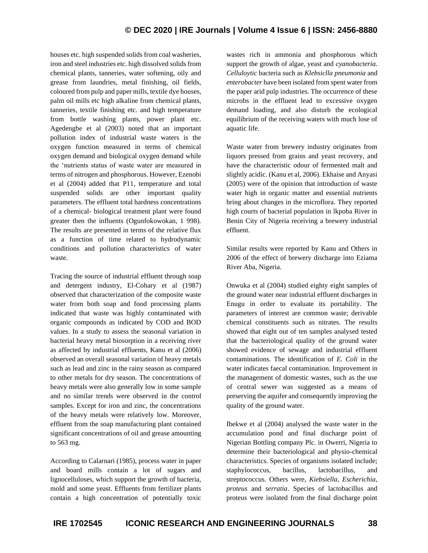# **© DEC 2020 | IRE Journals | Volume 4 Issue 6 | ISSN: 2456-8880**

houses etc. high suspended solids from coal washeries, iron and steel industries etc. high dissolved solids from chemical plants, tanneries, water softening, oily and grease from laundries, metal finishing, oil fields, coloured from pulp and paper mills, textile dye houses, palm oil mills etc high alkaline from chemical plants, tanneries, textile finishing etc. and high temperature from bottle washing plants, power plant etc. Agedengbe et al (2003) noted that an important pollution index of industrial waste waters is the oxygen function measured in terms of chemical oxygen demand and biological oxygen demand while the 'nutrients status of waste water are measured in terms of nitrogen and phosphorous. However, Ezenobi et al (2004) added that P11, temperature and total suspended solids are other important quality parameters. The effluent total hardness concentrations of a chemical- biological treatment plant were found greater then the influents (Ogunfokowokan, 1 998). The results are presented in terms of the relative flux as a function of time related to hydrodynamic conditions and pollution characteristics of water waste.

Tracing the source of industrial effluent through soap and detergent industry, El-Cohary et al (1987) observed that characterization of the composite waste water from both soap and food processing plants indicated that waste was highly contaminated with organic compounds as indicated by COD and BOD values. In a study to assess the seasonal variation in bacterial heavy metal biosorption in a receiving river as affected by industrial effluents, Kanu et al (2006) observed an overall seasonal variation of heavy metals such as lead and zinc in the rainy season as compared to other metals for dry season. The concentrations of heavy metals were also generally low in some sample and no similar trends were observed in the control samples. Except for iron and zinc, the concentrations of the heavy metals were relatively low. Moreover, effluent from the soap manufacturing plant contained significant concentrations of oil and grease amounting to 563 mg.

According to Calarnari (1985), process water in paper and board mills contain a lot of sugars and lignocelluloses, which support the growth of bacteria, mold and some yeast. Effluents from fertilizer plants contain a high concentration of potentially toxic wastes rich in ammonia and phosphorous which support the growth of algae, yeast and *cyanobacteria*. *Celluloytic* bacteria such as *Klebsiclla pneumonia* and *enterobacter* have been isolated from spent water from the paper arid pulp industries. The occurrence of these microbs in the effluent lead to excessive oxygen demand loading, and also disturb the ecological equilibrium of the receiving waters with much lose of aquatic life.

Waste water from brewery industry originates from liquors pressed from grains and yeast recovery, and have the characteristic odour of fermented malt and slightly acidic. (Kanu et al, 2006). Ekhaise and Anyasi (2005) were of the opinion that introduction of waste water high in organic matter and essential nutrients bring about changes in the microflora. They reported high courts of bacterial population in lkpoba River in Benin City of Nigeria receiving a brewery industrial effluent.

Similar results were reported by Kanu and Others in 2006 of the effect of brewery discharge into Eziama River Aba, Nigeria.

Onwuka et al (2004) studied eighty eight samples of the ground water near industrial effluent discharges in Enugu in order to evaluate its portability. The parameters of interest are common waste; derivable chemical constituents such as nitrates. The results showed that eight out of ten samples analysed tested that the bacteriological quality of the ground water showed evidence of sewage and industrial effluent contaminations. The identification of *E. Coli* in the water indicates faecal contamination. Improvement in the management of domestic wastes, such as the use of central sewer was suggested as a means of preserving the aquifer and consequently improving the quality of the ground water.

Ibekwe et al (2004) analysed the waste water in the accumulation pond and final discharge point of Nigerian Bottling company Plc. in Owerri, Nigeria to determine their bacteriological and physio-chemical characteristics. Species of organisms isolated include; staphylococcus, bacillus, lactobacillus, and streptococcus. Others were, *Kiebsiella*, *Escherichia*, *proteus* and *serratia*. Species of lactobacillus and proteus were isolated from the final discharge point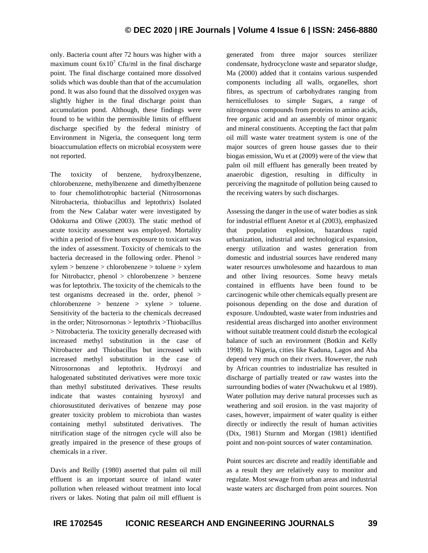only. Bacteria count after 72 hours was higher with a maximum count  $6x10^7$  Cfu/ml in the final discharge point. The final discharge contained more dissolved solids which was double than that of the accumulation pond. It was also found that the dissolved oxygen was slightly higher in the final discharge point than accumulation pond. Although, these findings were found to be within the permissible limits of effluent discharge specified by the federal ministry of Environment in Nigeria, the consequent long term bioaccumulation effects on microbial ecosystem were not reported.

The toxicity of benzene, hydroxylbenzene, chlorobenzene, methylbenzene and dimethylbenzene to four chemolithotrophic bacterial (Nitrosornonas Nitrobacteria, thiobacillus and leptothrix) Isolated from the New Calabar water were investigated by Odokurna and Oliwe (2003). The static method of acute toxicity assessment was employed. Mortality within a period of five hours exposure to toxicant was the index of assessment. Toxicity of chemicals to the bacteria decreased in the following order. Phenol > xylem > benzene > chlorobenzene > toluene > xylem for Nitrobactcr, phenol > chlorobenzene > benzene was for leptothrix. The toxicity of the chemicals to the test organisms decreased in the. order, phenol > chlorobenzene > benzene > xylene > toluene. Sensitivity of the bacteria to the chemicals decreased in the order; Nitrosornonas > leptothrix >Thiobacillus > Nitrobacteria. The toxicity generally decreased with increased methyl substitution in the case of Nitrobacter and Thiobacillus but increased with increased methyl substitution in the case of Nitrosornonas and leptothrix. Hydroxyi and halogenated substituted derivatives were more toxic than methyl substituted derivatives. These results indicate that wastes containing hysroxyl and chiorosustituted derivatives of benzene may pose greater toxicity problem to microbiota than wastes containing methyl substituted derivatives. The nitrification stage of the nitrogen cycle will also be greatly impaired in the presence of these groups of chemicals in a river.

Davis and Reilly (1980) asserted that palm oil mill effluent is an important source of inland water pollution when released without treatment into local rivers or lakes. Noting that palm oil mill effluent is generated from three major sources sterilizer condensate, hydrocyclone waste and separator sludge, Ma (2000) added that it contains various suspended components including all walls, organelles, short fibres, as spectrum of carbohydrates ranging from hernicelluloses to simple Sugars, a range of nitrogenous compounds from proteins to amino acids, free organic acid and an assembly of minor organic and mineral constituents. Accepting the fact that palm oil mill waste water treatment system is one of the major sources of green house gasses due to their biogas emission, Wu et at (2009) were of the view that palm oil mill effluent has generally been treated by anaerobic digestion, resulting in difficulty in perceiving the magnitude of pollution being caused to the receiving waters by such discharges.

Assessing the danger in the use of water bodies as sink for industrial effluent Anetor et al (2003), emphasized that population explosion, hazardous rapid urbanization, industrial and technological expansion, energy utilization and wastes generation from domestic and industrial sources have rendered many water resources unwholesome and hazardous to man and other living resources. Some heavy metals contained in effluents have been found to be carcinogenic while other chemicals equally present are poisonous depending on the dose and duration of exposure. Undoubted, waste water from industries and residential areas discharged into another environment without suitable treatment could disturb the ecological balance of such an environment (Botkin and Kelly 1998). In Nigeria, cities like Kaduna, Lagos and Aba depend very much on their rivers. However, the rush by African countries to industrialize has resulted in discharge of partially treated or raw wastes into the surrounding bodies of water (Nwachukwu et al 1989). Water pollution may derive natural processes such as weathering and soil erosion. in the vast majority of cases, however, impairment of water quality is either directly or indirectly the result of human activities (Dix, 1981) Sturnm and Morgan (1981) identified point and non-point sources of water contamination.

Point sources arc discrete and readily identifiable and as a result they are relatively easy to monitor and regulate. Most sewage from urban areas and industrial waste waters arc discharged from point sources. Non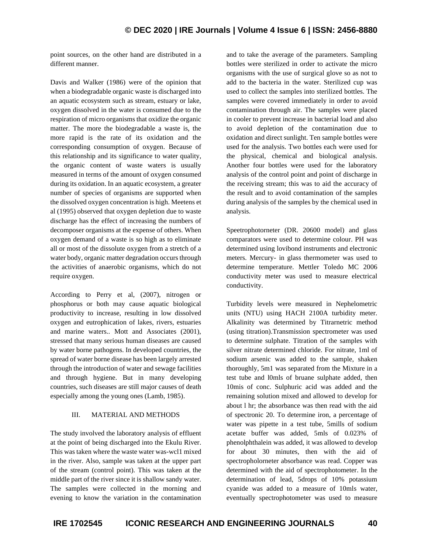point sources, on the other hand are distributed in a different manner.

Davis and Walker (1986) were of the opinion that when a biodegradable organic waste is discharged into an aquatic ecosystem such as stream, estuary or lake, oxygen dissolved in the water is consumed due to the respiration of micro organisms that oxidize the organic matter. The more the biodegradable a waste is, the more rapid is the rate of its oxidation and the corresponding consumption of oxygen. Because of this relationship and its significance to water quality, the organic content of waste waters is usually measured in terms of the amount of oxygen consumed during its oxidation. In an aquatic ecosystem, a greater number of species of organisms are supported when the dissolved oxygen concentration is high. Meetens et al (1995) observed that oxygen depletion due to waste discharge has the effect of increasing the numbers of decomposer organisms at the expense of others. When oxygen demand of a waste is so high as to eliminate all or most of the dissolute oxygen from a stretch of a water body, organic matter degradation occurs through the activities of anaerobic organisms, which do not require oxygen.

According to Perry et al, (2007), nitrogen or phosphorus or both may cause aquatic biological productivity to increase, resulting in low dissolved oxygen and eutrophication of lakes, rivers, estuaries and marine waters.. Mott and Associates (2001), stressed that many serious human diseases are caused by water borne pathogens. In developed countries, the spread of water borne disease has been largely arrested through the introduction of water and sewage facilities and through hygiene. But in many developing countries, such diseases are still major causes of death especially among the young ones (Lamb, 1985).

# III. MATERIAL AND METHODS

The study involved the laboratory analysis of effluent at the point of being discharged into the Ekulu River. This was taken where the waste water was-wcl1 mixed in the river. Also, sample was taken at the upper part of the stream (control point). This was taken at the middle part of the river since it is shallow sandy water. The samples were collected in the morning and evening to know the variation in the contamination and to take the average of the parameters. Sampling bottles were sterilized in order to activate the micro organisms with the use of surgical glove so as not to add to the bacteria in the water. Sterilized cup was used to collect the samples into sterilized bottles. The samples were covered immediately in order to avoid contamination through air. The samples were placed in cooler to prevent increase in bacterial load and also to avoid depletion of the contamination due to oxidation and direct sunlight. Ten sample bottles were used for the analysis. Two bottles each were used for the physical, chemical and biological analysis. Another four bottles were used for the laboratory analysis of the control point and point of discharge in the receiving stream; this was to aid the accuracy of the result and to avoid contamination of the samples during analysis of the samples by the chemical used in analysis.

Speetrophotorneter (DR. 20600 model) and glass comparators were used to determine colour. PH was determined using lovibond instruments and electronic meters. Mercury- in glass thermometer was used to determine temperature. Mettler Toledo MC 2006 conductivity meter was used to measure electrical conductivity.

Turbidity levels were measured in Nephelometric units (NTU) using HACH 2100A turbidity meter. Alkalinity was determined by Titrarnetric method (using titration).Transmission spectrometer was used to determine sulphate. Titration of the samples with silver nitrate determined chloride. For nitrate, 1ml of sodium arsenic was added to the sample, shaken thoroughly, 5m1 was separated from the Mixture in a test tube and l0mls of bruane sulphate added, then 10mis of conc. Sulphuric acid was added and the remaining solution mixed and allowed to develop for about l hr; the absorbance was then read with the aid of spectronic 20. To determine iron, a percentage of water was pipette in a test tube, 5mills of sodium acetate buffer was added, 5mls of 0.023% of phenolphthalein was added, it was allowed to develop for about 30 minutes, then with the aid of spectropholorneter absorbance was read. Copper was determined with the aid of spectrophotometer. In the determination of lead, 5drops of 10% potassium cyanide was added to a measure of 10mls water, eventually spectrophotometer was used to measure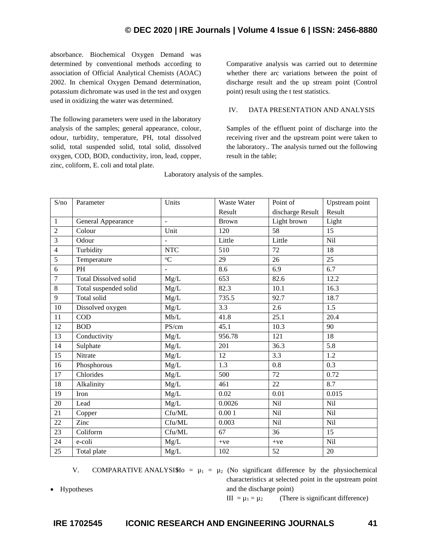absorbance. Biochemical Oxygen Demand was determined by conventional methods according to association of Official Analytical Chemists (AOAC) 2002. In chemical Oxygen Demand determination, potassium dichromate was used in the test and oxygen used in oxidizing the water was determined.

The following parameters were used in the laboratory analysis of the samples; general appearance, colour, odour, turbidity, temperature, PH, total dissolved solid, total suspended solid, total solid, dissolved oxygen, COD, BOD, conductivity, iron, lead, copper, zinc, coliform, E. coli and total plate.

Comparative analysis was carried out to determine whether there arc variations between the point of discharge result and the up stream point (Control point) result using the t test statistics.

# IV. DATA PRESENTATION AND ANALYSIS

Samples of the effluent point of discharge into the receiving river and the upstream point were taken to the laboratory.. The analysis turned out the following result in the table;

| S/no             | Parameter                    | Units          | Waste Water  | Point of         | Upstream point |
|------------------|------------------------------|----------------|--------------|------------------|----------------|
|                  |                              |                | Result       | discharge Result | Result         |
| $\mathbf{1}$     | General Appearance           | $\overline{a}$ | <b>Brown</b> | Light brown      | Light          |
| $\overline{2}$   | Colour                       | Unit           | 120          | 58               | 15             |
| $\mathfrak{Z}$   | Odour                        | ÷,             | Little       | Little           | Nil            |
| $\overline{4}$   | Turbidity                    | <b>NTC</b>     | 510          | $\overline{72}$  | 18             |
| 5                | Temperature                  | ${}^{\circ}C$  | 29           | 26               | 25             |
| $\overline{6}$   | PH                           | $\overline{a}$ | 8.6          | 6.9              | 6.7            |
| $\boldsymbol{7}$ | <b>Total Dissolved solid</b> | Mg/L           | 653          | 82.6             | 12.2           |
| $\,8\,$          | Total suspended solid        | Mg/L           | 82.3         | 10.1             | 16.3           |
| $\overline{9}$   | Total solid                  | Mg/L           | 735.5        | 92.7             | 18.7           |
| 10               | Dissolved oxygen             | Mg/L           | 3.3          | 2.6              | 1.5            |
| 11               | <b>COD</b>                   | Mb/L           | 41.8         | 25.1             | 20.4           |
| 12               | <b>BOD</b>                   | PS/cm          | 45.1         | 10.3             | 90             |
| 13               | Conductivity                 | Mg/L           | 956.78       | 121              | 18             |
| 14               | Sulphate                     | Mg/L           | 201          | 36.3             | 5.8            |
| 15               | Nitrate                      | Mg/L           | 12           | 3.3              | 1.2            |
| 16               | Phosphorous                  | Mg/L           | 1.3          | 0.8              | 0.3            |
| $17\,$           | Chlorides                    | Mg/L           | 500          | 72               | 0.72           |
| $18\,$           | Alkalinity                   | Mg/L           | 461          | 22               | 8.7            |
| 19               | Iron                         | Mg/L           | 0.02         | 0.01             | 0.015          |
| 20               | Lead                         | Mg/L           | 0.0026       | <b>Nil</b>       | Nil            |
| 21               | Copper                       | $C$ fu/ML      | 0.001        | Nil              | Nil            |
| 22               | Zinc                         | Cfu/ML         | 0.003        | <b>Nil</b>       | <b>Nil</b>     |
| 23               | Coliform                     | Cfu/ML         | 67           | 36               | 15             |
| 24               | e-coli                       | Mg/L           | $+ve$        | $+ve$            | Nil            |
| 25               | Total plate                  | $\rm Mg/L$     | 102          | 52               | $20\,$         |

Laboratory analysis of the samples.

• Hypotheses

V. COMPARATIVE ANALYSISHO =  $\mu_1 = \mu_2$  (No significant difference by the physiochemical characteristics at selected point in the upstream point and the discharge point)

III =  $\mu_1$  =  $\mu_2$  (There is significant difference)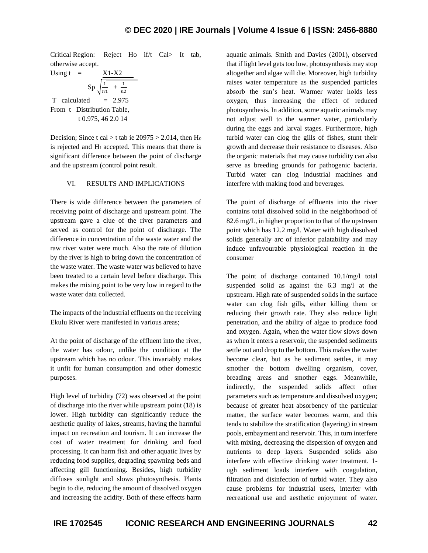Critical Region: Reject Ho if/t Cal> It tab, otherwise accept.

Using t = 
$$
Sp \sqrt{\frac{1}{n1} + \frac{1}{n2}}
$$
  
\nT calculated = 2.975  
\nFrom t Distribution Table,  
\nt 0.975, 46 2.0 14

Decision; Since t cal > t tab ie  $20975 > 2.014$ , then H<sub>0</sub> is rejected and  $H_1$  accepted. This means that there is significant difference between the point of discharge and the upstream (control point result.

## VI. RESULTS AND IMPLICATIONS

There is wide difference between the parameters of receiving point of discharge and upstream point. The upstream gave a clue of the river parameters and served as control for the point of discharge. The difference in concentration of the waste water and the raw river water were much. Also the rate of dilution by the river is high to bring down the concentration of the waste water. The waste water was believed to have been treated to a certain level before discharge. This makes the mixing point to be very low in regard to the waste water data collected.

The impacts of the industrial effluents on the receiving Ekulu River were manifested in various areas;

At the point of discharge of the effluent into the river, the water has odour, unlike the condition at the upstream which has no odour. This invariably makes it unfit for human consumption and other domestic purposes.

High level of turbidity (72) was observed at the point of discharge into the river while upstream point (18) is lower. High turbidity can significantly reduce the aesthetic quality of lakes, streams, having the harmful impact on recreation and tourism. It can increase the cost of water treatment for drinking and food processing. It can harm fish and other aquatic lives by reducing food supplies, degrading spawning beds and affecting gill functioning. Besides, high turbidity diffuses sunlight and slows photosynthesis. Plants begin to die, reducing the amount of dissolved oxygen and increasing the acidity. Both of these effects harm aquatic animals. Smith and Davies (2001), observed that if light level gets too low, photosynthesis may stop altogether and algae will die. Moreover, high turbidity raises water temperature as the suspended particles absorb the sun's heat. Warmer water holds less oxygen, thus increasing the effect of reduced photosynthesis. In addition, some aquatic animals may not adjust well to the warmer water, particularly during the eggs and larval stages. Furthermore, high turbid water can clog the gills of fishes, stunt their growth and decrease their resistance to diseases. Also the organic materials that may cause turbidity can also serve as breeding grounds for pathogenic bacteria. Turbid water can clog industrial machines and interfere with making food and beverages.

The point of discharge of effluents into the river contains total dissolved solid in the neighborhood of 82.6 mg/L, in higher proportion to that of the upstream point which has 12.2 mg/l. Water with high dissolved solids generally arc of inferior palatability and may induce unfavourable physiological reaction in the consumer

The point of discharge contained 10.1/mg/l total suspended solid as against the 6.3 mg/l at the upstrearn. High rate of suspended solids in the surface water can clog fish gills, either killing them or reducing their growth rate. They also reduce light penetration, and the ability of algae to produce food and oxygen. Again, when the water flow slows down as when it enters a reservoir, the suspended sediments settle out and drop to the bottom. This makes the water become clear, but as he sediment settles, it may smother the bottom dwelling organism, cover, breading areas and smother eggs. Meanwhile, indirectly, the suspended solids affect other parameters such as temperature and dissolved oxygen; because of greater heat absorbency of the particular matter, the surface water becomes warm, and this tends to stabilize the stratification (layering) in stream pools, embayment and reservoir. This, in turn interfere with mixing, decreasing the dispersion of oxygen and nutrients to deep layers. Suspended solids also interfere with effective drinking water treatment. 1 ugh sediment loads interfere with coagulation, filtration and disinfection of turbid water. They also cause problems for industrial users, interfer with recreational use and aesthetic enjoyment of water.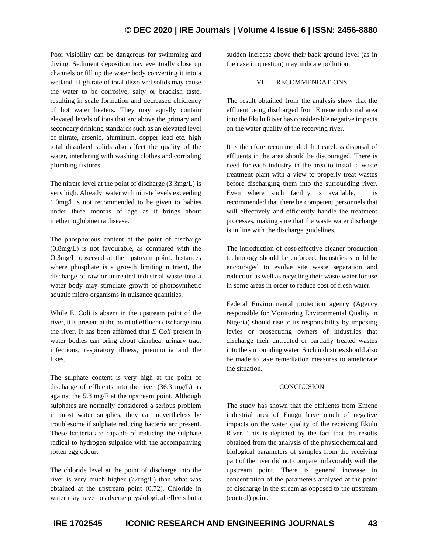# **© DEC 2020 | IRE Journals | Volume 4 Issue 6 | ISSN: 2456-8880**

Poor visibility can be dangerous for swimming and diving. Sediment deposition nay eventually close up channels or fill up the water body converting it into a wetland. High rate of total dissolved solids may cause the water to be corrosive, salty or brackish taste, resulting in scale formation and decreased efficiency of hot water heaters. They may equally contain elevated levels of ions that arc above the primary and secondary drinking standards such as an elevated level of nitrate, arsenic, aluminum, copper lead etc. high total dissolved solids also affect the quality of the water, interfering with washing clothes and corroding plumbing fixtures.

The nitrate level at the point of discharge (3.3mg/L) is very high. Already, water with nitrate levels exceeding 1.0mg/l is not recommended to be given to babies under three months of age as it brings about methemoglobinema disease.

The phosphorous content at the point of discharge (0.8mg/L) is not favourable, as compared with the O.3mg/L observed at the upstream point. Instances where phosphate is a growth limiting nutrient, the discharge of raw or untreated industrial waste into a water body may stimulate growth of photosynthetic aquatic micro organisms in nuisance quantities.

While E, Coli is absent in the upstream point of the river, it is present at the point of effluent discharge into the river. It has been affirmed that *E Coli* present in water bodies can bring about diarrhea, urinary tract infections, respiratory illness, pneumonia and the likes.

The sulphate content is very high at the point of discharge of effluents into the river (36.3 mg/L) as against the 5.8 mg/F at the upstream point. Although sulphates are normally considered a serious problem in most water supplies, they can nevertheless be troublesome if sulphate reducing bacteria arc present. These bacteria are capable of reducing the sulphate radical to hydrogen sulphide with the accompanying rotten egg odour.

The chloride level at the point of discharge into the river is very much higher (72rng/L) than what was obtained at the upstream point (0.72). Chloride in water may have no adverse physiological effects but a sudden increase above their back ground level (as in the case in question) may indicate pollution.

# VII. RECOMMENDATIONS

The result obtained from the analysis show that the effluent being discharged from Emene industrial area into the Ekulu River has considerable negative impacts on the water quality of the receiving river.

It is therefore recommended that careless disposal of effluents in the area should be discouraged. There is need for each industry in the area to install a waste treatment plant with a view to properly treat wastes before discharging them into the surrounding river. Even where such facility is available, it is recommended that there be competent personnels that will effectively and efficiently handle the treatment processes, making sure that the waste water discharge is in line with the discharge guidelines.

The introduction of cost-effective cleaner production technology should be enforced. Industries should be encouraged to evolve site waste separation and reduction as well as recycling their waste water for use in some areas in order to reduce cost of fresh water.

Federal Environmental protection agency (Agency responsible for Monitoring Environmental Quality in Nigeria) should rise to its responsibility by imposing levies or prosecuting owners of industries that discharge their untreated or partially treated wastes into the surrounding water. Such industries should also be made to take remediation measures to ameliorate the situation.

### **CONCLUSION**

The study has shown that the effluents from Emene industrial area of Enugu have much of negative impacts on the water quality of the receiving Ekulu River. This is depicted by the fact that the results obtained from the analysis of the physiochernical and biological parameters of samples from the receiving part of the river did not compare unfavorably with the upstream point. There is general increase in concentration of the parameters analysed at the point of discharge in the stream as opposed to the upstream (control) point.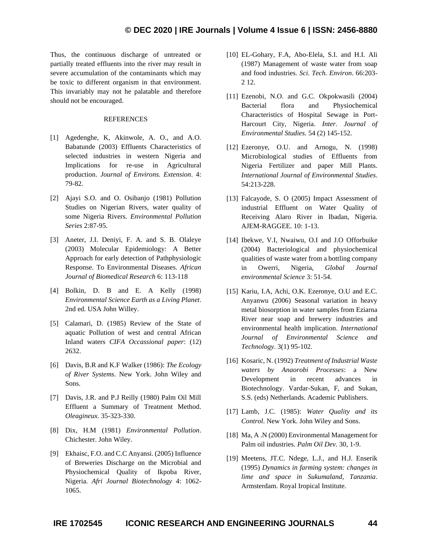Thus, the continuous discharge of untreated or partially treated effluents into the river may result in severe accumulation of the contaminants which may be toxic to different organism in that environment. This invariably may not he palatable and therefore should not be encouraged.

### REFERENCES

- [1] Agedenghe, K, Akinwole, A. O., and A.O. Babatunde (2003) Effluents Characteristics of selected industries in western Nigeria and Implications for re-use in Agricultural production. *Journal of Environs. Extension*. 4: 79-82.
- [2] Ajayi S.O. and O. Osibanjo (1981) Pollution Studies on Nigerian Rivers, water quality of some Nigeria Rivers. *Environmental Pollution Series* 2:87-95.
- [3] Aneter, J.I. Deniyi, F. A. and S. B. Olaleye (2003) Molecular Epidemiology: A Better Approach for early detection of Pathphysiologic Response. To Environmental Diseases. *African Journal of Biomedical Research* 6: 113-118
- [4] Bolkin, D. B and E. A Kelly (1998) *Environmental Science Earth as a Living Planet*. 2nd ed. USA John Willey.
- [5] Calamari, D. (1985) Review of the State of aquatic Pollution of west and central African Inland waters *CIFA Occassional paper*: (12) 2632.
- [6] Davis, B.R and K.F Walker (1986): *The Ecology of River Systems*. New York. John Wiley and Sons.
- [7] Davis, J.R. and P.J Reilly (1980) Palm Oil Mill Effluent a Summary of Treatment Method. *Oleagineux*. 35-323-330.
- [8] Dix, H.M (1981) *Environmental Pollution*. Chichester. John Wiley.
- [9] Ekhaisc, F.O. and C.C Anyansi. (2005) Influence of Breweries Discharge on the Microbial and Physiochemical Quality of Ikpoba River, Nigeria. *Afri Journal Biotechnology* 4: 1062- 1065.
- [10] EL-Gohary, F.A, Abo-Elela, S.I. and H.I. Ali (1987) Management of waste water from soap and food industries. *Sci. Tech. Environ*. 66:203- 2 12.
- [11] Ezenobi, N.O. and G.C. Okpokwasili (2004) Bacterial flora and Physiochemical Characteristics of Hospital Sewage in Port-Harcourt City, Nigeria. *Inter. Journal of Environmental Studies.* 54 (2) 145-152.
- [12] Ezeronye, O.U. and Arnogu, N. (1998) Microbiological studies of Effluents from Nigeria Fertilizer and paper Mill Plants. *International Journal of Environmental Studies*. 54:213-228.
- [13] Falcayode, S. O (2005) Impact Assessment of industrial Effluent on Water Quality of Receiving Alaro River in Ibadan, Nigeria. AJEM-RAGGEE. 10: 1-13.
- [14] Ibekwe, V.I, Nwaiwu, O.I and J.O Offorbuike (2004) Bacteriological and physiochemical qualities of waste water from a bottling company in Owerri, Nigeria, *Global Journal environmental Science* 3: 51-54.
- [15] Kariu, I.A, Achi, O.K. Ezeronye, O.U and E.C. Anyanwu (2006) Seasonal variation in heavy metal biosorption in water samples from Eziarna River near soap and brewery industries and environmental health implication. *International Journal of Environmental Science and Technology*. 3(1) 95-102.
- [16] Kosaric, N. (1992) *Treatment of Industrial Waste waters by Anaorobi Processes*: a New Development in recent advances in Biotechnology. Vardar-Sukan, F, and Sukan, S.S. (eds) Netherlands. Academic Publishers.
- [17] Lamb, J.C. (1985): *Water Quality and its Control*. New York. John Wiley and Sons.
- [18] Ma, A.N (2000) Environmental Management for Palm oil industries. *Palm Oil Dev*. 30, 1-9.
- [19] Meetens, JT.C. Ndege, L.J., and H.J. Enserik (1995) *Dynamics in farming system: changes in lime and space in Sukumaland, Tanzania*. Armsterdam. Royal Iropical Institute.